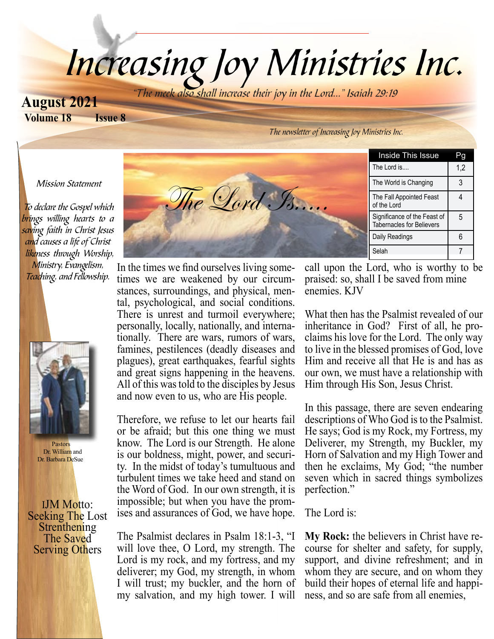# Increasing Joy Ministries Inc.

**Volume 18 Issue 8 August 2021**

The meek also shall increase their joy in the Lord..." Isaiah 29:19

The Lord Is....

The newsletter of Increasing Joy Ministries Inc.

#### Mission Statement

 To declare the Gospel which brings willing hearts to a saving faith in Christ Jesus and causes a life of Christ likeness through Worship, Ministry, Evangelism, Teaching, and Fellowship.



 Pastors Dr. William and Dr. Barbara DeSue

IJM Motto: Seeking The Lost<br>Strenthening The Saved Serving Others

In the times we find ourselves living sometimes we are weakened by our circumstances, surroundings, and physical, mental, psychological, and social conditions. There is unrest and turmoil everywhere; personally, locally, nationally, and internationally. There are wars, rumors of wars, famines, pestilences (deadly diseases and plagues), great earthquakes, fearful sights and great signs happening in the heavens. All of this was told to the disciples by Jesus and now even to us, who are His people.

Therefore, we refuse to let our hearts fail or be afraid; but this one thing we must know. The Lord is our Strength. He alone is our boldness, might, power, and security. In the midst of today's tumultuous and turbulent times we take heed and stand on the Word of God. In our own strength, it is impossible; but when you have the promises and assurances of God, we have hope.

The Psalmist declares in Psalm 18:1-3, "I will love thee, O Lord, my strength. The Lord is my rock, and my fortress, and my deliverer; my God, my strength, in whom I will trust; my buckler, and the horn of my salvation, and my high tower. I will

Inside This Issue Pg The Lord is....  $\begin{vmatrix} 1,2 \end{vmatrix}$ The World is Changing | 3 The Fall Appointed Feast of the Lord 4 Significance of the Feast of Tabernacles for Believers 5 Daily Readings 1 6 Selah 7

call upon the Lord, who is worthy to be praised: so, shall I be saved from mine enemies. KJV

What then has the Psalmist revealed of our inheritance in God? First of all, he proclaims his love for the Lord. The only way to live in the blessed promises of God, love Him and receive all that He is and has as our own, we must have a relationship with Him through His Son, Jesus Christ.

In this passage, there are seven endearing descriptions of Who God is to the Psalmist. He says; God is my Rock, my Fortress, my Deliverer, my Strength, my Buckler, my Horn of Salvation and my High Tower and then he exclaims, My God; "the number seven which in sacred things symbolizes perfection."

The Lord is:

**My Rock:** the believers in Christ have recourse for shelter and safety, for supply, support, and divine refreshment; and in whom they are secure, and on whom they build their hopes of eternal life and happiness, and so are safe from all enemies,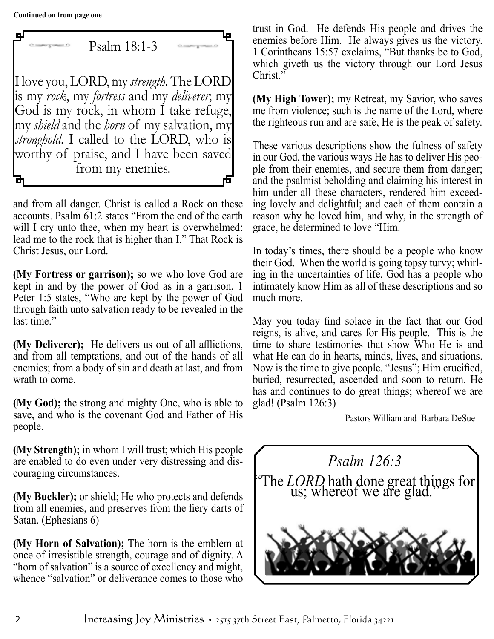Psalm 18:1-3 I love you, LORD, my *strength.* The LORD is my *rock*, my *fortress* and my *deliverer*; my God is my rock, in whom I take refuge, my *shield* and the *horn* of my salvation, my *stronghold*. I called to the LORD, who is worthy of praise, and I have been saved from my enemies. 虛

and from all danger. Christ is called a Rock on these accounts. Psalm 61:2 states "From the end of the earth will I cry unto thee, when my heart is overwhelmed: lead me to the rock that is higher than I." That Rock is Christ Jesus, our Lord.

**(My Fortress or garrison);** so we who love God are kept in and by the power of God as in a garrison, 1 Peter 1:5 states, "Who are kept by the power of God through faith unto salvation ready to be revealed in the last time."

**(My Deliverer);** He delivers us out of all afflictions, and from all temptations, and out of the hands of all enemies; from a body of sin and death at last, and from wrath to come.

**(My God);** the strong and mighty One, who is able to save, and who is the covenant God and Father of His people.

**(My Strength);** in whom I will trust; which His people are enabled to do even under very distressing and discouraging circumstances.

**(My Buckler);** or shield; He who protects and defends from all enemies, and preserves from the fiery darts of Satan. (Ephesians 6)

**(My Horn of Salvation);** The horn is the emblem at once of irresistible strength, courage and of dignity. A "horn of salvation" is a source of excellency and might, whence "salvation" or deliverance comes to those who

trust in God. He defends His people and drives the enemies before Him. He always gives us the victory. 1 Corintheans 15:57 exclaims, "But thanks be to God, which giveth us the victory through our Lord Jesus Christ."

**(My High Tower);** my Retreat, my Savior, who saves me from violence; such is the name of the Lord, where the righteous run and are safe, He is the peak of safety.

These various descriptions show the fulness of safety in our God, the various ways He has to deliver His people from their enemies, and secure them from danger; and the psalmist beholding and claiming his interest in him under all these characters, rendered him exceeding lovely and delightful; and each of them contain a reason why he loved him, and why, in the strength of grace, he determined to love "Him.

In today's times, there should be a people who know their God. When the world is going topsy turvy; whirling in the uncertainties of life, God has a people who intimately know Him as all of these descriptions and so much more.

May you today find solace in the fact that our God reigns, is alive, and cares for His people. This is the time to share testimonies that show Who He is and what He can do in hearts, minds, lives, and situations. Now is the time to give people, "Jesus"; Him crucified, buried, resurrected, ascended and soon to return. He has and continues to do great things; whereof we are glad! (Psalm 126:3)

Pastors William and Barbara DeSue

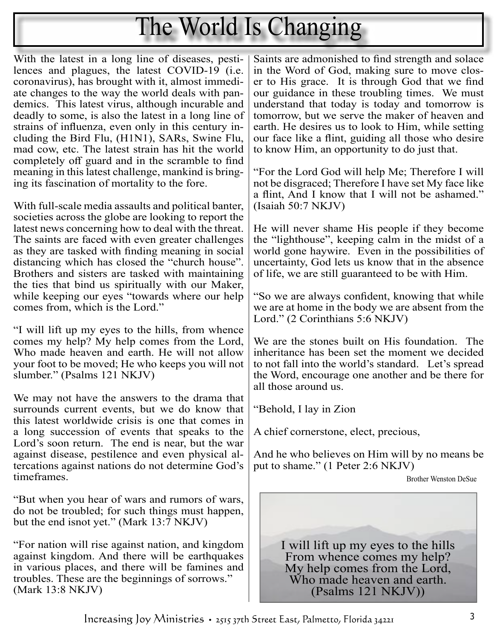## The World Is Changing

With the latest in a long line of diseases, pestilences and plagues, the latest COVID-19 (i.e. coronavirus), has brought with it, almost immediate changes to the way the world deals with pandemics. This latest virus, although incurable and deadly to some, is also the latest in a long line of strains of influenza, even only in this century including the Bird Flu, (H1N1), SARs, Swine Flu, mad cow, etc. The latest strain has hit the world completely off guard and in the scramble to find meaning in this latest challenge, mankind is bringing its fascination of mortality to the fore.

With full-scale media assaults and political banter, societies across the globe are looking to report the latest news concerning how to deal with the threat. The saints are faced with even greater challenges as they are tasked with finding meaning in social distancing which has closed the "church house". Brothers and sisters are tasked with maintaining the ties that bind us spiritually with our Maker, while keeping our eyes "towards where our help comes from, which is the Lord."

"I will lift up my eyes to the hills, from whence comes my help? My help comes from the Lord, Who made heaven and earth. He will not allow your foot to be moved; He who keeps you will not slumber." (Psalms 121 NKJV)

We may not have the answers to the drama that surrounds current events, but we do know that this latest worldwide crisis is one that comes in a long succession of events that speaks to the Lord's soon return. The end is near, but the war against disease, pestilence and even physical altercations against nations do not determine God's timeframes.

"But when you hear of wars and rumors of wars, do not be troubled; for such things must happen, but the end isnot yet." (Mark 13:7 NKJV)

"For nation will rise against nation, and kingdom against kingdom. And there will be earthquakes in various places, and there will be famines and troubles. These are the beginnings of sorrows." (Mark 13:8 NKJV)

Saints are admonished to find strength and solace in the Word of God, making sure to move closer to His grace. It is through God that we find our guidance in these troubling times. We must understand that today is today and tomorrow is tomorrow, but we serve the maker of heaven and earth. He desires us to look to Him, while setting our face like a flint, guiding all those who desire to know Him, an opportunity to do just that.

"For the Lord God will help Me; Therefore I will not be disgraced; Therefore I have set My face like a flint, And I know that I will not be ashamed." (Isaiah 50:7 NKJV)

He will never shame His people if they become the "lighthouse", keeping calm in the midst of a world gone haywire. Even in the possibilities of uncertainty, God lets us know that in the absence of life, we are still guaranteed to be with Him.

"So we are always confident, knowing that while we are at home in the body we are absent from the Lord." (2 Corinthians 5:6 NKJV)

We are the stones built on His foundation. The inheritance has been set the moment we decided to not fall into the world's standard. Let's spread the Word, encourage one another and be there for all those around us.

"Behold, I lay in Zion

A chief cornerstone, elect, precious,

And he who believes on Him will by no means be put to shame." (1 Peter 2:6 NKJV)

Brother Wenston DeSue

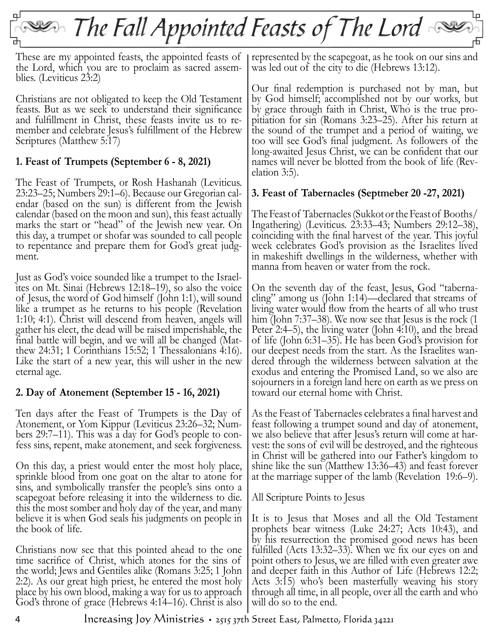## $\sim$  The Fall Appointed Feasts of The Lord  $\sim$

These are my appointed feasts, the appointed feasts of the Lord, which you are to proclaim as sacred assem- blies. (Leviticus 23:2)

Christians are not obligated to keep the Old Testament feasts. But as we seek to understand their significance and fulfillment in Christ, these feasts invite us to re- member and celebrate Jesus's fulfillment of the Hebrew Scriptures (Matthew 5:17)

#### **1. Feast of Trumpets (September 6 - 8, 2021)**

The Feast of Trumpets, or Rosh Hashanah (Leviticus. 23:23–25; Numbers 29:1–6). Because our Gregorian cal- endar (based on the sun) is different from the Jewish calendar (based on the moon and sun), this feast actually marks the start or "head" of the Jewish new year. On this day, a trumpet or shofar was sounded to call people to repentance and prepare them for God's great judg- ment.

Just as God's voice sounded like a trumpet to the Israel- ites on Mt. Sinai (Hebrews 12:18–19), so also the voice of Jesus, the word of God himself (John 1:1), will sound like a trumpet as he returns to his people (Revelation 1:10; 4:1). Christ will descend from heaven, angels will gather his elect, the dead will be raised imperishable, the final battle will begin, and we will all be changed (Mat- thew 24:31; 1 Corinthians 15:52; 1 Thessalonians 4:16). Like the start of a new year, this will usher in the new eternal age.

#### **2. Day of Atonement (September 15 - 16, 2021)**

Ten days after the Feast of Trumpets is the Day of Atonement, or Yom Kippur (Leviticus 23:26–32; Numbers 29:7–11). This was a day for God's people to confess sins, repent, make atonement, and seek forgiveness.

On this day, a priest would enter the most holy place, sprinkle blood from one goat on the altar to atone for sins, and symbolically transfer the people's sins onto a scapegoat before releasing it into the wilderness to die. this the most somber and holy day of the year, and many believe it is when God seals his judgments on people in the book of life.

Christians now see that this pointed ahead to the one time sacrifice of Christ, which atones for the sins of the world; Jews and Gentiles alike (Romans 3:25; 1 John 2:2). As our great high priest, he entered the most holy place by his own blood, making a way for us to approach God's throne of grace (Hebrews 4:14–16). Christ is also

represented by the scapegoat, as he took on our sins and was led out of the city to die (Hebrews 13:12).

Our final redemption is purchased not by man, but by God himself; accomplished not by our works, but by grace through faith in Christ, Who is the true pro- pitiation for sin (Romans 3:23–25). After his return at the sound of the trumpet and a period of waiting, we too will see God's final judgment. As followers of the long-awaited Jesus Christ, we can be confident that our names will never be blotted from the book of life (Rev-<br>elation 3:5).

#### **3. Feast of Tabernacles (Septmeber 20 -27, 2021)**

The Feast of Tabernacles (Sukkot or the Feast of Booths/ Ingathering) (Leviticus. 23:33–43; Numbers 29:12–38), coinciding with the final harvest of the year. This joyful week celebrates God's provision as the Israelites lived in makeshift dwellings in the wilderness, whether with manna from heaven or water from the rock.

On the seventh day of the feast, Jesus, God "taberna- cling" among us (John 1:14)—declared that streams of living water would flow from the hearts of all who trust him (John 7:37–38). We now see that Jesus is the rock (1) Peter 2:4–5), the living water (John 4:10), and the bread of life (John 6:31–35). He has been God's provision for our deepest needs from the start. As the Israelites wan- dered through the wilderness between salvation at the exodus and entering the Promised Land, so we also are sojourners in a foreign land here on earth as we press on toward our eternal home with Christ.

As the Feast of Tabernacles celebrates a final harvest and feast following a trumpet sound and day of atonement, we also believe that after Jesus's return will come at har- vest: the sons of evil will be destroyed, and the righteous in Christ will be gathered into our Father's kingdom to shine like the sun (Matthew 13:36–43) and feast forever at the marriage supper of the lamb (Revelation 19:6–9).

All Scripture Points to Jesus

It is to Jesus that Moses and all the Old Testament prophets bear witness (Luke 24:27; Acts 10:43), and by his resurrection the promised good news has been fulfilled (Acts 13:32–33). When we fix our eyes on and point others to Jesus, we are filled with even greater awe and deeper faith in this Author of Life (Hebrews 12:2; Acts 3:15) who's been masterfully weaving his story through all time, in all people, over all the earth and who will do so to the end.

4 Increasing Joy Ministries • 2515 37th Street East, Palmetto, Florida 34221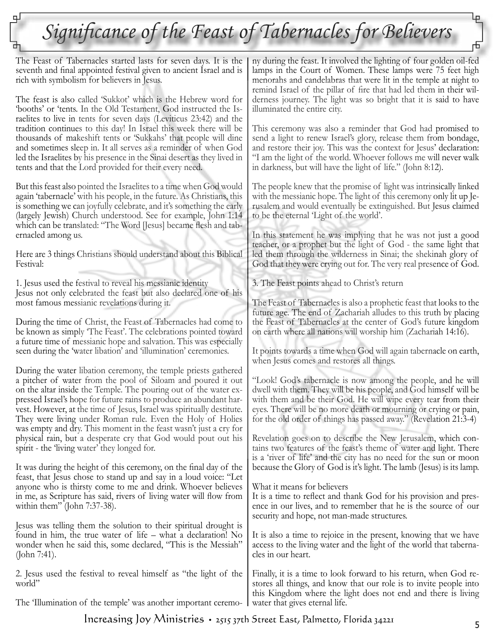### Significance of the Feast of Tabernacles for Believers

The Feast of Tabernacles started lasts for seven days. It is the seventh and final appointed festival given to ancient Israel and is rich with symbolism for believers in Jesus.

The feast is also called 'Sukkot' which is the Hebrew word for 'booths' or 'tents. In the Old Testament, God instructed the Is raelites to live in tents for seven days (Leviticus 23:42) and the tradition continues to this day! In Israel this week there will be thousands of makeshift tents or 'Sukkahs' that people will dine and sometimes sleep in. It all serves as a reminder of when God led the Israelites by his presence in the Sinai desert as they lived in tents and that the Lord provided for their every need.

But this feast also pointed the Israelites to a time when God would again 'tabernacle' with his people, in the future. As Christians, this is something we can joyfully celebrate, and it's something the early (largely Jewish) Church understood. See for example, John 1:14 which can be translated: "The Word [Jesus] became flesh and tab ernacled among us.

Here are 3 things Christians should understand about this Biblical Festival:

1. Jesus used the festival to reveal his messianic identity Jesus not only celebrated the feast but also declared one of his most famous messianic revelations during it.

During the time of Christ, the Feast of Tabernacles had come to be known as simply 'The Feast'. The celebrations pointed toward a future time of messianic hope and salvation. This was especially seen during the 'water libation' and 'illumination' ceremonies.

During the water libation ceremony, the temple priests gathered a pitcher of water from the pool of Siloam and poured it out on the altar inside the Temple. The pouring out of the water ex pressed Israel's hope for future rains to produce an abundant har vest. However, at the time of Jesus, Israel was spiritually destitute. They were living under Roman rule. Even the Holy of Holies was empty and dry. This moment in the feast wasn't just a cry for physical rain, but a desperate cry that God would pout out his spirit - the 'living water' they longed for.

It was during the height of this ceremony, on the final day of the feast, that Jesus chose to stand up and say in a loud voice: "Let anyone who is thirsty come to me and drink. Whoever believes in me, as Scripture has said, rivers of living water will flow from within them" (John 7:37-38).

Jesus was telling them the solution to their spiritual drought is found in him, the true water of life – what a declaration! No wonder when he said this, some declared, "This is the Messiah" (John 7:41).

2. Jesus used the festival to reveal himself as "the light of the world"

The 'Illumination of the temple' was another important ceremo-

ny during the feast. It involved the lighting of four golden oil-fed lamps in the Court of Women. These lamps were 75 feet high menorahs and candelabras that were lit in the temple at night to remind Israel of the pillar of fire that had led them in their wil derness journey. The light was so bright that it is said to have illuminated the entire city.

This ceremony was also a reminder that God had promised to send a light to renew Israel's glory, release them from bondage, and restore their joy. This was the context for Jesus' declaration: "I am the light of the world. Whoever follows me will never walk in darkness, but will have the light of life." (John 8:12).

The people knew that the promise of light was intrinsically linked with the messianic hope. The light of this ceremony only lit up Je rusalem and would eventually be extinguished. But Jesus claimed to be the eternal 'Light of the world'.

In this statement he was implying that he was not just a good teacher, or a prophet but the light of God - the same light that led them through the wilderness in Sinai; the shekinah glory of God that they were crying out for. The very real presence of God.

3. The Feast points ahead to Christ's return

The Feast of Tabernacles is also a prophetic feast that looks to the future age. The end of Zachariah alludes to this truth by placing the Feast of Tabernacles at the center of God's future kingdom on earth where all nations will worship him (Zachariah 14:16).

It points towards a time when God will again tabernacle on earth, when Jesus comes and restores all things.

"Look! God's tabernacle is now among the people, and he will dwell with them. They will be his people, and God himself will be with them and be their God. He will wipe every tear from their eyes. There will be no more death or mourning or crying or pain, for the old order of things has passed away." (Revelation 21:3-4)

Revelation goes on to describe the New Jerusalem, which con tains two features of the feast's theme of water and light. There is a 'river of life' and the city has no need for the sun or moon because the Glory of God is it's light. The lamb (Jesus) is its lamp.

What it means for believers

It is a time to reflect and thank God for his provision and pres ence in our lives, and to remember that he is the source of our security and hope, not man-made structures.

It is also a time to rejoice in the present, knowing that we have access to the living water and the light of the world that taberna cles in our heart.

Finally, it is a time to look forward to his return, when God re stores all things, and know that our role is to invite people into this Kingdom where the light does not end and there is living water that gives eternal life.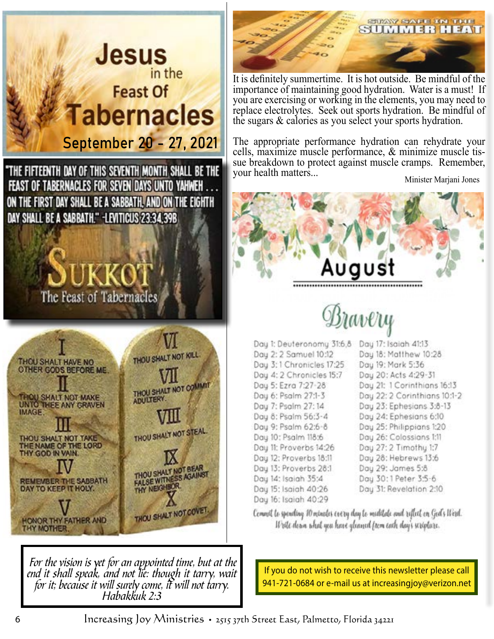

 For the vision is yet for an appointed time, but at the end it shall speak, and not lie: though it tarry, wait for it; because it will surely come, it will not tarry. Habakkuk 2:3



It is definitely summertime. It is hot outside. Be mindful of the importance of maintaining good hydration. Water is a must! If you are exercising or working in the elements, you may need to replace electrolytes. Seek out sports hydration. Be mindful of the sugars & calories as you select your sports hydration.

The appropriate performance hydration can rehydrate your cells, maximize muscle performance, & minimize muscle tis sue breakdown to protect against muscle cramps. Remember, your health matters...

Minister Marjani Jones



Day 13: Proverbs 28:1 Day 14: Isaiah 35:4 Day 15: Isaiah 40:26 Day 16: Isaiah 40:29

Day 29: James 5:8 Day 30:1 Peter 3:5-6

Day 31: Revelation 2:10

Corneil le spending 10 minales cectes dan le mudilale and tefleil en Ged's West. Write down what you have gleaned from each day's scripture.

If you do not wish to receive this newsletter please call 941-721-0684 or e-mail us at increasingjoy@verizon.net

6 Increasing Joy Ministries • 2515 37th Street East, Palmetto, Florida 34221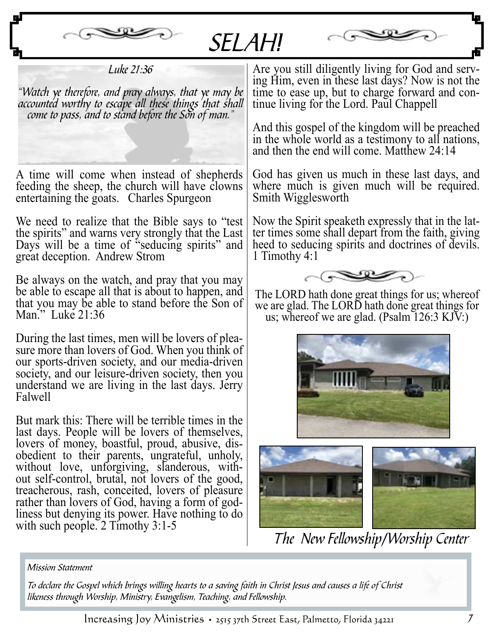

SELAH!



Luke 21:36

"Watch ye therefore, and pray always, that ye may be accounted worthy to escape all these things that shall come to pass, and to stand before the Son of man."

A time will come when instead of shepherds feeding the sheep, the church will have clowns entertaining the goats. Charles Spurgeon

We need to realize that the Bible says to "test the spirits" and warns very strongly that the Last Days will be a time of "seducing spirits" and great deception. Andrew Strom

Be always on the watch, and pray that you may be able to escape all that is about to happen, and that you may be able to stand before the Son of Man." Luke 21:36

During the last times, men will be lovers of plea- sure more than lovers of God. When you think of our sports-driven society, and our media-driven society, and our leisure-driven society, then you understand we are living in the last days. Jerry Falwell

But mark this: There will be terrible times in the last days. People will be lovers of themselves, lovers of money, boastful, proud, abusive, dis- obedient to their parents, ungrateful, unholy, without love, unforgiving, slanderous, with-<br>out self-control, brutal, not lovers of the good, treacherous, rash, conceited, lovers of pleasure liness but denying its power. Have nothing to do with such people. 2 Timothy 3:1-5

Are you still diligently living for God and serv- ing Him, even in these last days? Now is not the time to ease up, but to charge forward and con- tinue living for the Lord. Paul Chappell

And this gospel of the kingdom will be preached in the whole world as a testimony to all nations, and then the end will come. Matthew 24:14

God has given us much in these last days, and where much is given much will be required. Smith Wigglesworth

Now the Spirit speaketh expressly that in the lat ter times some shall depart from the faith, giving heed to seducing spirits and doctrines of devils. 1 Timothy 4:1



The LORD hath done great things for us; whereof we are glad. The LORD hath done great things for us; whereof we are glad. (Psalm 126:3 KJV:)





The New Fellowship/Worship Center

#### Mission Statement

 To declare the Gospel which brings willing hearts to a saving faith in Christ Jesus and causes a life of Christ likeness through Worship, Ministry, Evangelism, Teaching, and Fellowship.